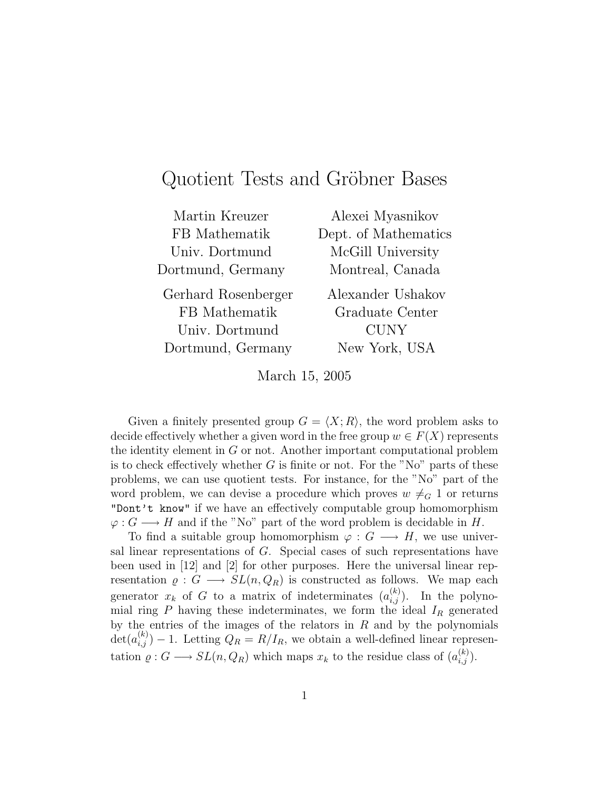# Quotient Tests and Gröbner Bases

| Alexei Myasnikov     |
|----------------------|
| Dept. of Mathematics |
| McGill University    |
| Montreal, Canada     |
| Alexander Ushakov    |
| Graduate Center      |
| <b>CUNY</b>          |
| New York, USA        |
|                      |

March 15, 2005

Given a finitely presented group  $G = \langle X; R \rangle$ , the word problem asks to decide effectively whether a given word in the free group  $w \in F(X)$  represents the identity element in G or not. Another important computational problem is to check effectively whether  $G$  is finite or not. For the "No" parts of these problems, we can use quotient tests. For instance, for the "No" part of the word problem, we can devise a procedure which proves  $w \neq G 1$  or returns "Dont't know" if we have an effectively computable group homomorphism  $\varphi: G \longrightarrow H$  and if the "No" part of the word problem is decidable in H.

To find a suitable group homomorphism  $\varphi: G \longrightarrow H$ , we use universal linear representations of G. Special cases of such representations have been used in [12] and [2] for other purposes. Here the universal linear representation  $\rho: G \longrightarrow SL(n, Q_R)$  is constructed as follows. We map each generator  $x_k$  of G to a matrix of indeterminates  $(a_{i,j}^{(k)})$ . In the polynomial ring P having these indeterminates, we form the ideal  $I_R$  generated by the entries of the images of the relators in  $R$  and by the polynomials  $\det(a_{i,j}^{(k)})-1$ . Letting  $Q_R = R/I_R$ , we obtain a well-defined linear representation  $\rho: G \longrightarrow SL(n, Q_R)$  which maps  $x_k$  to the residue class of  $(a_{i,j}^{(k)})$ .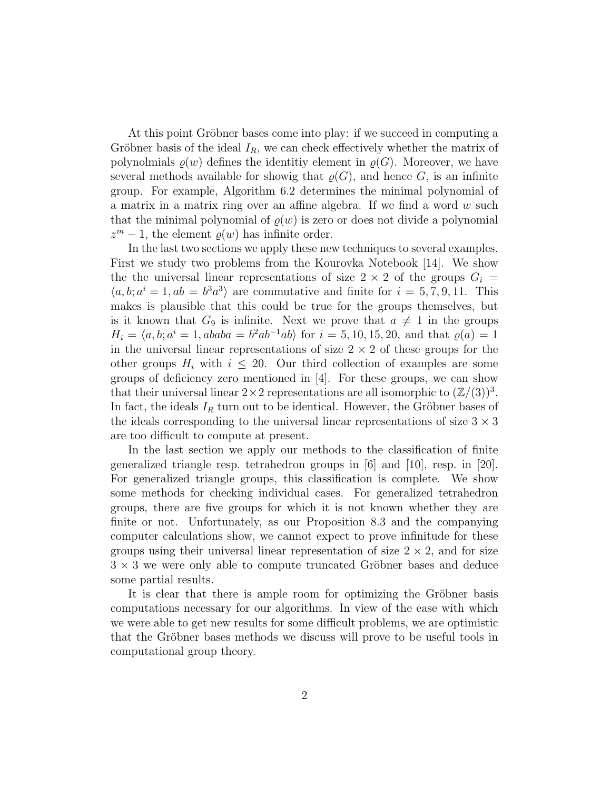At this point Gröbner bases come into play: if we succeed in computing a Gröbner basis of the ideal  $I_R$ , we can check effectively whether the matrix of polynolmials  $\varrho(w)$  defines the identitiy element in  $\varrho(G)$ . Moreover, we have several methods available for showig that  $\rho(G)$ , and hence G, is an infinite group. For example, Algorithm 6.2 determines the minimal polynomial of a matrix in a matrix ring over an affine algebra. If we find a word w such that the minimal polynomial of  $\rho(w)$  is zero or does not divide a polynomial  $z^m - 1$ , the element  $\varrho(w)$  has infinite order.

In the last two sections we apply these new techniques to several examples. First we study two problems from the Kourovka Notebook [14]. We show the the universal linear representations of size  $2 \times 2$  of the groups  $G_i =$  $\langle a, b; a^i = 1, ab = b^3 a^3 \rangle$  are commutative and finite for  $i = 5, 7, 9, 11$ . This makes is plausible that this could be true for the groups themselves, but is it known that  $G_9$  is infinite. Next we prove that  $a \neq 1$  in the groups  $H_i = \langle a, b; a^i = 1, ababa = b^2ab^{-1}ab \rangle$  for  $i = 5, 10, 15, 20$ , and that  $\varrho(a) = 1$ in the universal linear representations of size  $2 \times 2$  of these groups for the other groups  $H_i$  with  $i \leq 20$ . Our third collection of examples are some groups of deficiency zero mentioned in [4]. For these groups, we can show that their universal linear  $2 \times 2$  representations are all isomorphic to  $(\mathbb{Z}/(3))^3$ . In fact, the ideals  $I_R$  turn out to be identical. However, the Gröbner bases of the ideals corresponding to the universal linear representations of size  $3 \times 3$ are too difficult to compute at present.

In the last section we apply our methods to the classification of finite generalized triangle resp. tetrahedron groups in [6] and [10], resp. in [20]. For generalized triangle groups, this classification is complete. We show some methods for checking individual cases. For generalized tetrahedron groups, there are five groups for which it is not known whether they are finite or not. Unfortunately, as our Proposition 8.3 and the companying computer calculations show, we cannot expect to prove infinitude for these groups using their universal linear representation of size  $2 \times 2$ , and for size  $3 \times 3$  we were only able to compute truncated Gröbner bases and deduce some partial results.

It is clear that there is ample room for optimizing the Gröbner basis computations necessary for our algorithms. In view of the ease with which we were able to get new results for some difficult problems, we are optimistic that the Gröbner bases methods we discuss will prove to be useful tools in computational group theory.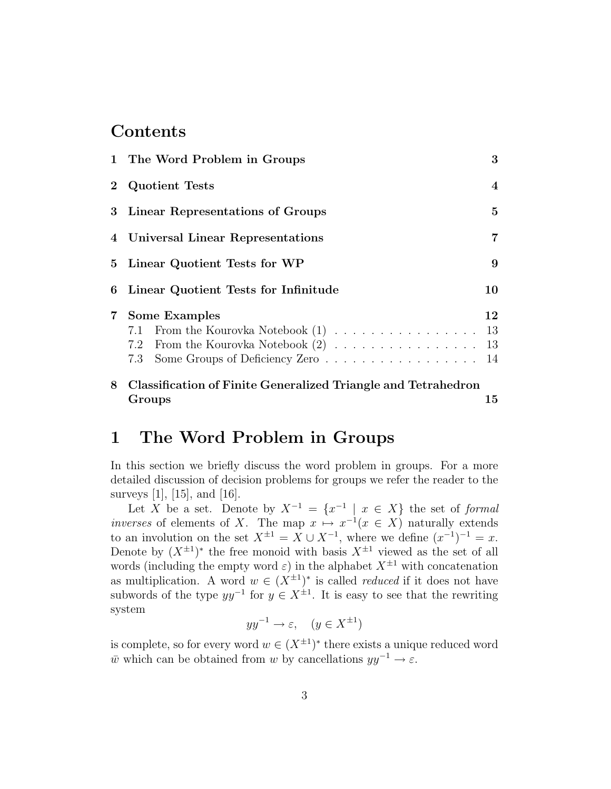### Contents

|            | 1 The Word Problem in Groups                                                   | 3              |
|------------|--------------------------------------------------------------------------------|----------------|
| $\bf{2}$   | <b>Quotient Tests</b>                                                          | $\overline{4}$ |
|            | 3 Linear Representations of Groups                                             | $\overline{5}$ |
|            | 4 Universal Linear Representations                                             | 7              |
|            | 5 Linear Quotient Tests for WP                                                 | 9              |
| 6          | Linear Quotient Tests for Infinitude                                           | 10             |
| $7\degree$ | <b>Some Examples</b><br>7.1 From the Kourovka Notebook (1)<br>7.3              | 12<br>13       |
| 8          | <b>Classification of Finite Generalized Triangle and Tetrahedron</b><br>Groups | 15             |

### 1 The Word Problem in Groups

In this section we briefly discuss the word problem in groups. For a more detailed discussion of decision problems for groups we refer the reader to the surveys [1], [15], and [16].

Let X be a set. Denote by  $X^{-1} = \{x^{-1} \mid x \in X\}$  the set of formal inverses of elements of X. The map  $x \mapsto x^{-1}(x \in X)$  naturally extends to an involution on the set  $X^{\pm 1} = X \cup X^{-1}$ , where we define  $(x^{-1})^{-1} = x$ . Denote by  $(X^{\pm 1})^*$  the free monoid with basis  $X^{\pm 1}$  viewed as the set of all words (including the empty word  $\varepsilon$ ) in the alphabet  $X^{\pm 1}$  with concatenation as multiplication. A word  $w \in (X^{\pm 1})^*$  is called *reduced* if it does not have subwords of the type  $yy^{-1}$  for  $y \in X^{\pm 1}$ . It is easy to see that the rewriting system

$$
yy^{-1}\to\varepsilon,\quad (y\in X^{\pm 1})
$$

is complete, so for every word  $w \in (X^{\pm 1})^*$  there exists a unique reduced word  $\overline{w}$  which can be obtained from w by cancellations  $yy^{-1} \to \varepsilon$ .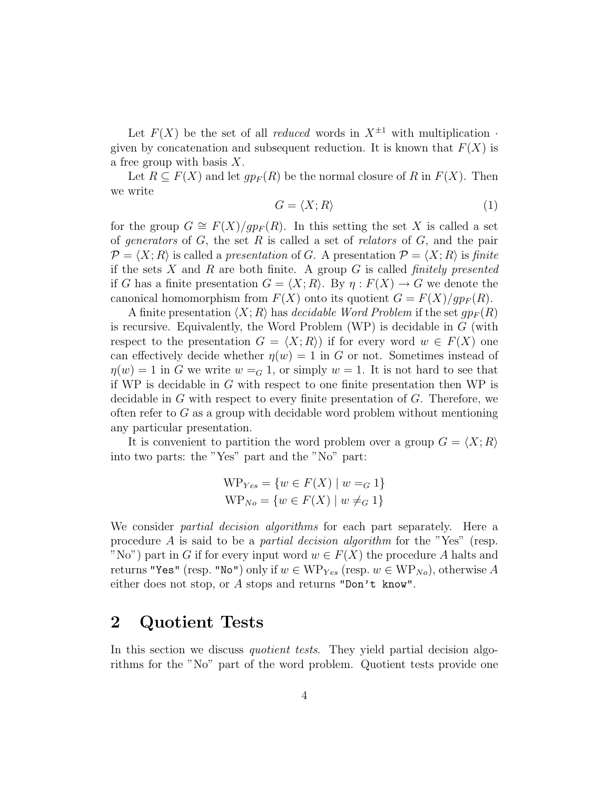Let  $F(X)$  be the set of all *reduced* words in  $X^{\pm 1}$  with multiplication  $\cdot$ given by concatenation and subsequent reduction. It is known that  $F(X)$  is a free group with basis  $X$ .

Let  $R \subseteq F(X)$  and let  $qp_F(R)$  be the normal closure of R in  $F(X)$ . Then we write

$$
G = \langle X; R \rangle \tag{1}
$$

for the group  $G \cong F(X)/gp_F(R)$ . In this setting the set X is called a set of generators of  $G$ , the set  $R$  is called a set of relators of  $G$ , and the pair  $\mathcal{P} = \langle X; R \rangle$  is called a presentation of G. A presentation  $\mathcal{P} = \langle X; R \rangle$  is finite if the sets X and R are both finite. A group G is called *finitely presented* if G has a finite presentation  $G = \langle X; R \rangle$ . By  $\eta : F(X) \to G$  we denote the canonical homomorphism from  $F(X)$  onto its quotient  $G = F(X)/qp_F(R)$ .

A finite presentation  $\langle X; R \rangle$  has *decidable Word Problem* if the set  $qp_F (R)$ is recursive. Equivalently, the Word Problem (WP) is decidable in G (with respect to the presentation  $G = \langle X; R \rangle$  if for every word  $w \in F(X)$  one can effectively decide whether  $\eta(w) = 1$  in G or not. Sometimes instead of  $\eta(w) = 1$  in G we write  $w = G 1$ , or simply  $w = 1$ . It is not hard to see that if WP is decidable in  $G$  with respect to one finite presentation then WP is decidable in  $G$  with respect to every finite presentation of  $G$ . Therefore, we often refer to  $G$  as a group with decidable word problem without mentioning any particular presentation.

It is convenient to partition the word problem over a group  $G = \langle X; R \rangle$ into two parts: the "Yes" part and the "No" part:

$$
WP_{Yes} = \{w \in F(X) \mid w =_G 1\}
$$
  

$$
WP_{No} = \{w \in F(X) \mid w \neq_G 1\}
$$

We consider *partial decision algorithms* for each part separately. Here a procedure A is said to be a partial decision algorithm for the "Yes" (resp. "No") part in G if for every input word  $w \in F(X)$  the procedure A halts and returns "Yes" (resp. "No") only if  $w \in WP_{Yes}$  (resp.  $w \in WP_{No}$ ), otherwise A either does not stop, or A stops and returns "Don't know".

## 2 Quotient Tests

In this section we discuss *quotient tests*. They yield partial decision algorithms for the "No" part of the word problem. Quotient tests provide one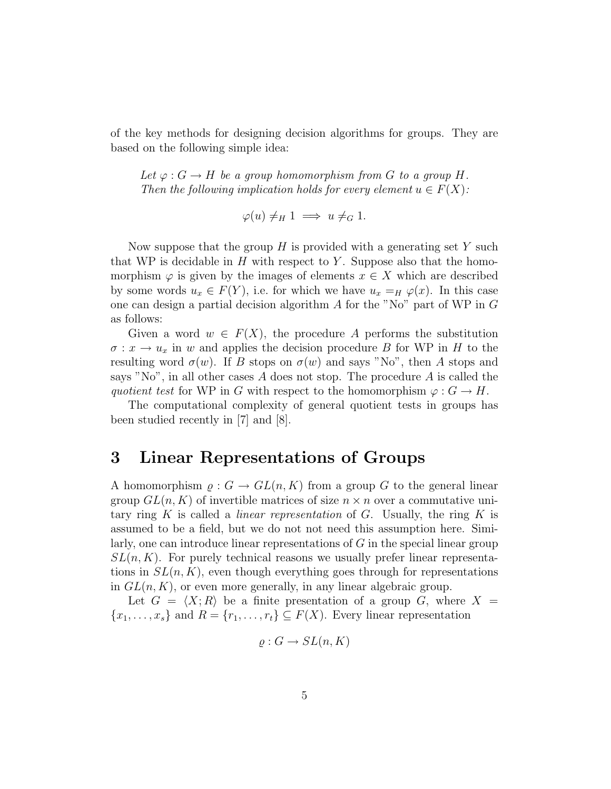of the key methods for designing decision algorithms for groups. They are based on the following simple idea:

Let  $\varphi: G \to H$  be a group homomorphism from G to a group H. Then the following implication holds for every element  $u \in F(X)$ :

$$
\varphi(u) \neq_H 1 \implies u \neq_G 1.
$$

Now suppose that the group  $H$  is provided with a generating set Y such that WP is decidable in  $H$  with respect to Y. Suppose also that the homomorphism  $\varphi$  is given by the images of elements  $x \in X$  which are described by some words  $u_x \in F(Y)$ , i.e. for which we have  $u_x =_H \varphi(x)$ . In this case one can design a partial decision algorithm  $A$  for the "No" part of WP in  $G$ as follows:

Given a word  $w \in F(X)$ , the procedure A performs the substitution  $\sigma: x \to u_x$  in w and applies the decision procedure B for WP in H to the resulting word  $\sigma(w)$ . If B stops on  $\sigma(w)$  and says "No", then A stops and says "No", in all other cases  $A$  does not stop. The procedure  $A$  is called the quotient test for WP in G with respect to the homomorphism  $\varphi: G \to H$ .

The computational complexity of general quotient tests in groups has been studied recently in [7] and [8].

### 3 Linear Representations of Groups

A homomorphism  $\rho: G \to GL(n,K)$  from a group G to the general linear group  $GL(n, K)$  of invertible matrices of size  $n \times n$  over a commutative unitary ring K is called a *linear representation* of G. Usually, the ring K is assumed to be a field, but we do not not need this assumption here. Similarly, one can introduce linear representations of G in the special linear group  $SL(n, K)$ . For purely technical reasons we usually prefer linear representations in  $SL(n, K)$ , even though everything goes through for representations in  $GL(n, K)$ , or even more generally, in any linear algebraic group.

Let  $G = \langle X; R \rangle$  be a finite presentation of a group G, where  $X =$  ${x_1, \ldots, x_s}$  and  $R = {r_1, \ldots, r_t} \subseteq F(X)$ . Every linear representation

$$
\varrho: G \to SL(n, K)
$$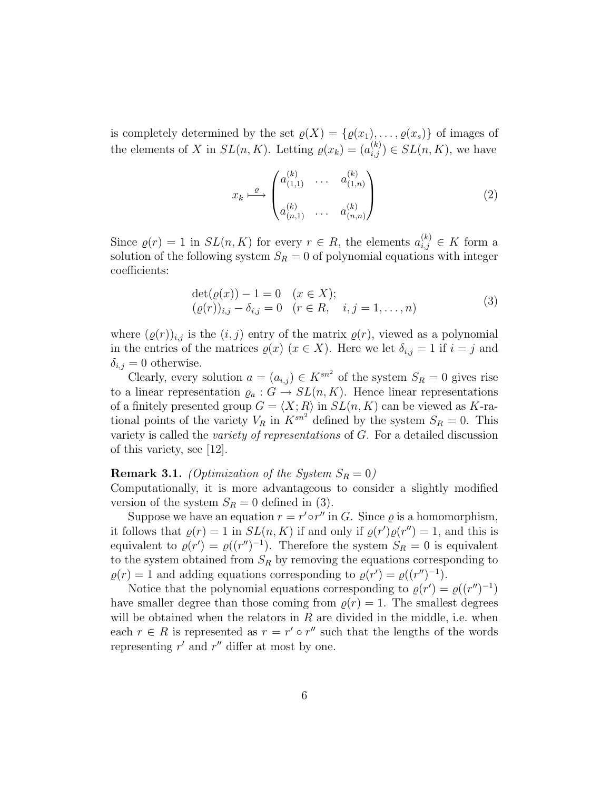is completely determined by the set  $\varrho(X) = \{\varrho(x_1), \ldots, \varrho(x_s)\}\$ of images of the elements of X in  $SL(n, K)$ . Letting  $\varrho(x_k) = (a_{i,j}^{(k)}) \in SL(n, K)$ , we have

$$
x_k \xrightarrow{\varrho} \begin{pmatrix} a_{(1,1)}^{(k)} & \cdots & a_{(1,n)}^{(k)} \\ a_{(n,1)}^{(k)} & \cdots & a_{(n,n)}^{(k)} \end{pmatrix}
$$
 (2)

Since  $\varrho(r) = 1$  in  $SL(n, K)$  for every  $r \in R$ , the elements  $a_{i,j}^{(k)} \in K$  form a solution of the following system  $S_R = 0$  of polynomial equations with integer coefficients:

$$
\begin{aligned} \det(\varrho(x)) - 1 &= 0 \quad (x \in X); \\ (\varrho(r))_{i,j} - \delta_{i,j} &= 0 \quad (r \in R, \quad i, j = 1, \dots, n) \end{aligned} \tag{3}
$$

where  $(\varrho(r))_{i,j}$  is the  $(i, j)$  entry of the matrix  $\varrho(r)$ , viewed as a polynomial in the entries of the matrices  $\varrho(x)$  ( $x \in X$ ). Here we let  $\delta_{i,j} = 1$  if  $i = j$  and  $\delta_{i,j} = 0$  otherwise.

Clearly, every solution  $a = (a_{i,j}) \in K^{sn^2}$  of the system  $S_R = 0$  gives rise to a linear representation  $\varrho_a: G \to SL(n,K)$ . Hence linear representations of a finitely presented group  $G = \langle X; R \rangle$  in  $SL(n, K)$  can be viewed as K-rational points of the variety  $V_R$  in  $K^{sn^2}$  defined by the system  $S_R = 0$ . This variety is called the variety of representations of G. For a detailed discussion of this variety, see [12].

#### **Remark 3.1.** (Optimization of the System  $S_R = 0$ )

Computationally, it is more advantageous to consider a slightly modified version of the system  $S_R = 0$  defined in (3).

Suppose we have an equation  $r = r' \circ r''$  in G. Since  $\varrho$  is a homomorphism, it follows that  $\rho(r) = 1$  in  $SL(n, K)$  if and only if  $\rho(r')\rho(r'') = 1$ , and this is equivalent to  $\rho(r') = \rho((r'')^{-1})$ . Therefore the system  $S_R = 0$  is equivalent to the system obtained from  $S_R$  by removing the equations corresponding to  $\rho(r) = 1$  and adding equations corresponding to  $\rho(r') = \rho((r'')^{-1})$ .

Notice that the polynomial equations corresponding to  $\varrho(r') = \varrho((r'')^{-1})$ have smaller degree than those coming from  $\rho(r) = 1$ . The smallest degrees will be obtained when the relators in  $R$  are divided in the middle, i.e. when each  $r \in R$  is represented as  $r = r' \circ r''$  such that the lengths of the words representing  $r'$  and  $r''$  differ at most by one.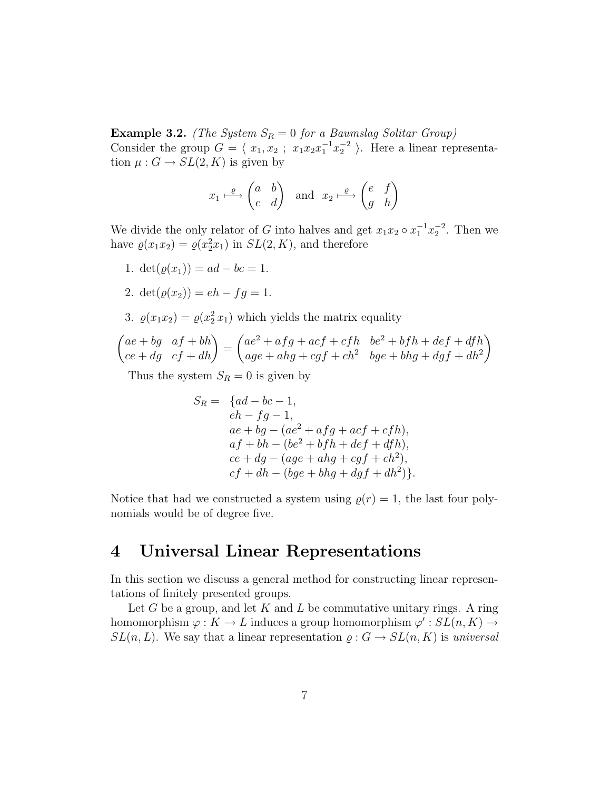Example 3.2. (The System  $S_R = 0$  for a Baumslag Solitar Group) Consider the group  $G = \langle x_1, x_2 ; x_1x_2x_1^{-1}x_2^{-2} \rangle$ . Here a linear representation  $\mu: G \to SL(2, K)$  is given by

$$
x_1 \stackrel{\varrho}{\longmapsto} \begin{pmatrix} a & b \\ c & d \end{pmatrix}
$$
 and  $x_2 \stackrel{\varrho}{\longmapsto} \begin{pmatrix} e & f \\ g & h \end{pmatrix}$ 

We divide the only relator of G into halves and get  $x_1x_2 \circ x_1^{-1}x_2^{-2}$ . Then we have  $\varrho(x_1x_2) = \varrho(x_2^2x_1)$  in  $SL(2, K)$ , and therefore

- 1.  $\det(\rho(x_1)) = ad bc = 1.$
- 2.  $\det(\rho(x_2)) = eh fq = 1.$
- 3.  $\varrho(x_1 x_2) = \varrho(x_2^2 x_1)$  which yields the matrix equality

$$
\begin{pmatrix} ae+bg & af+bh \ ce+dg & cf+dh \end{pmatrix} = \begin{pmatrix} ae^2+afg+act+cfh & be^2+bfh+def+dfh \ age+ahg+cgf+ch^2 & bee+bhg+dgf+dh^2 \end{pmatrix}
$$

Thus the system  $S_R = 0$  is given by

$$
S_R = \{ad - bc - 1,
$$
  
\n
$$
eh - fg - 1,
$$
  
\n
$$
ae + bg - (ae^2 + afg + acf + cfh),
$$
  
\n
$$
af + bh - (be^2 + bfh + def + dfh),
$$
  
\n
$$
ce + dg - (age + ahg + cgf + ch^2),
$$
  
\n
$$
cf + dh - (bge + bhg + dgf + dh^2)\}.
$$

Notice that had we constructed a system using  $\rho(r) = 1$ , the last four polynomials would be of degree five.

### 4 Universal Linear Representations

In this section we discuss a general method for constructing linear representations of finitely presented groups.

Let  $G$  be a group, and let  $K$  and  $L$  be commutative unitary rings. A ring homomorphism  $\varphi: K \to L$  induces a group homomorphism  $\varphi' : SL(n, K) \to$  $SL(n, L)$ . We say that a linear representation  $\rho: G \to SL(n, K)$  is universal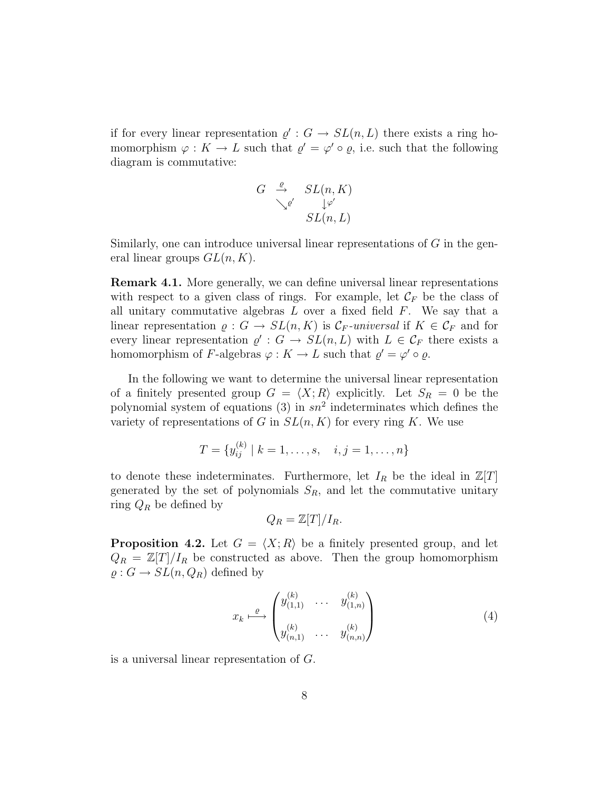if for every linear representation  $\varrho': G \to SL(n,L)$  there exists a ring homomorphism  $\varphi: K \to L$  such that  $\varrho' = \varphi' \circ \varrho$ , i.e. such that the following diagram is commutative:

$$
G \stackrel{\varrho}{\rightarrow} SL(n, K)
$$
  

$$
\searrow^{\varrho'} L(\eta, L)
$$

Similarly, one can introduce universal linear representations of G in the general linear groups  $GL(n, K)$ .

Remark 4.1. More generally, we can define universal linear representations with respect to a given class of rings. For example, let  $\mathcal{C}_F$  be the class of all unitary commutative algebras  $L$  over a fixed field  $F$ . We say that a linear representation  $\rho: G \to SL(n,K)$  is  $\mathcal{C}_F$ -universal if  $K \in \mathcal{C}_F$  and for every linear representation  $\varrho': G \to SL(n,L)$  with  $L \in \mathcal{C}_F$  there exists a homomorphism of F-algebras  $\varphi: K \to L$  such that  $\varrho' = \varphi' \circ \varrho$ .

In the following we want to determine the universal linear representation of a finitely presented group  $G = \langle X; R \rangle$  explicitly. Let  $S_R = 0$  be the polynomial system of equations (3) in  $sn^2$  indeterminates which defines the variety of representations of G in  $SL(n, K)$  for every ring K. We use

$$
T = \{y_{ij}^{(k)} \mid k = 1, \dots, s, \quad i, j = 1, \dots, n\}
$$

to denote these indeterminates. Furthermore, let  $I_R$  be the ideal in  $\mathbb{Z}[T]$ generated by the set of polynomials  $S_R$ , and let the commutative unitary ring  $Q_R$  be defined by

$$
Q_R = \mathbb{Z}[T]/I_R.
$$

**Proposition 4.2.** Let  $G = \langle X; R \rangle$  be a finitely presented group, and let  $Q_R = \mathbb{Z}[T]/I_R$  be constructed as above. Then the group homomorphism  $\rho: G \to SL(n, Q_R)$  defined by

$$
x_k \xrightarrow{\varrho} \begin{pmatrix} y_{(1,1)}^{(k)} & \cdots & y_{(1,n)}^{(k)} \\ y_{(n,1)}^{(k)} & \cdots & y_{(n,n)}^{(k)} \end{pmatrix}
$$
 (4)

is a universal linear representation of G.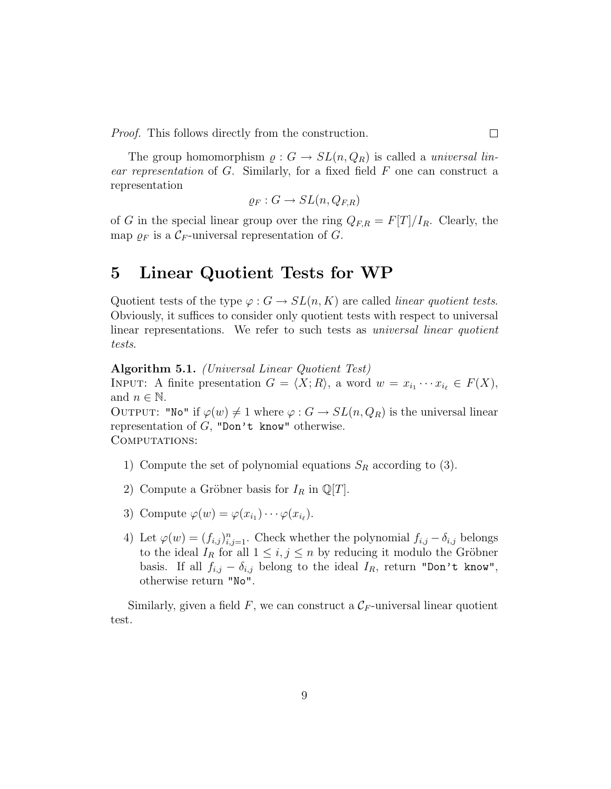Proof. This follows directly from the construction.

The group homomorphism  $\rho: G \to SL(n, Q_R)$  is called a *universal lin*ear representation of G. Similarly, for a fixed field F one can construct a representation

$$
\varrho_F: G \to SL(n, Q_{F,R})
$$

of G in the special linear group over the ring  $Q_{F,R} = F[T]/I_R$ . Clearly, the map  $\rho_F$  is a  $\mathcal{C}_F$ -universal representation of G.

## 5 Linear Quotient Tests for WP

Quotient tests of the type  $\varphi : G \to SL(n, K)$  are called *linear quotient tests*. Obviously, it suffices to consider only quotient tests with respect to universal linear representations. We refer to such tests as *universal linear quotient* tests.

Algorithm 5.1. (Universal Linear Quotient Test)

INPUT: A finite presentation  $G = \langle X; R \rangle$ , a word  $w = x_{i_1} \cdots x_{i_\ell} \in F(X)$ , and  $n \in \mathbb{N}$ .

OUTPUT: "No" if  $\varphi(w) \neq 1$  where  $\varphi : G \to SL(n, Q_R)$  is the universal linear representation of  $G$ , "Don't know" otherwise.

COMPUTATIONS:

- 1) Compute the set of polynomial equations  $S_R$  according to (3).
- 2) Compute a Gröbner basis for  $I_R$  in  $\mathbb{Q}[T]$ .
- 3) Compute  $\varphi(w) = \varphi(x_{i_1}) \cdots \varphi(x_{i_\ell}).$
- 4) Let  $\varphi(w) = (f_{i,j})_{i,j=1}^n$ . Check whether the polynomial  $f_{i,j} \delta_{i,j}$  belongs to the ideal  $I_R$  for all  $1 \leq i, j \leq n$  by reducing it modulo the Gröbner basis. If all  $f_{i,j} - \delta_{i,j}$  belong to the ideal  $I_R$ , return "Don't know", otherwise return "No".

Similarly, given a field F, we can construct a  $\mathcal{C}_F$ -universal linear quotient test.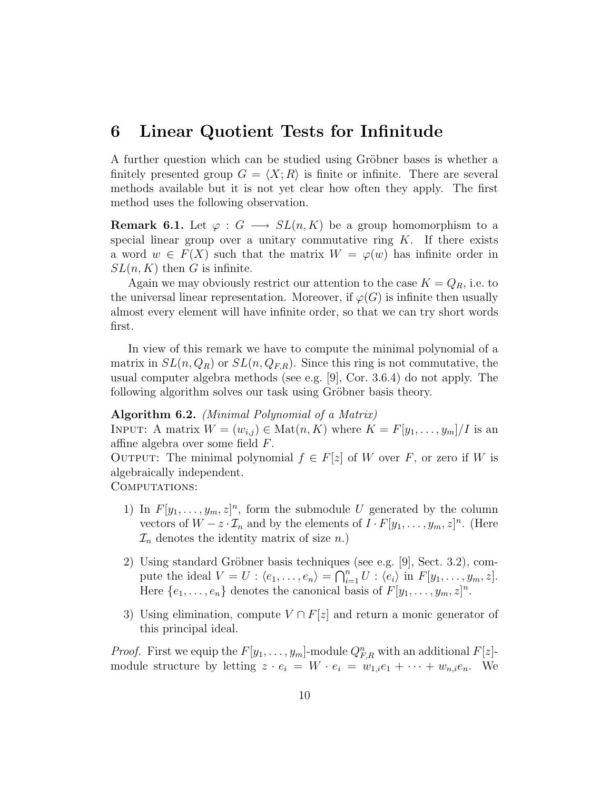### 6 Linear Quotient Tests for Infinitude

A further question which can be studied using Gröbner bases is whether a finitely presented group  $G = \langle X; R \rangle$  is finite or infinite. There are several methods available but it is not yet clear how often they apply. The first method uses the following observation.

**Remark 6.1.** Let  $\varphi: G \longrightarrow SL(n,K)$  be a group homomorphism to a special linear group over a unitary commutative ring  $K$ . If there exists a word  $w \in F(X)$  such that the matrix  $W = \varphi(w)$  has infinite order in  $SL(n, K)$  then G is infinite.

Again we may obviously restrict our attention to the case  $K = Q_R$ , i.e. to the universal linear representation. Moreover, if  $\varphi(G)$  is infinite then usually almost every element will have infinite order, so that we can try short words first.

In view of this remark we have to compute the minimal polynomial of a matrix in  $SL(n, Q_R)$  or  $SL(n, Q_{F,R})$ . Since this ring is not commutative, the usual computer algebra methods (see e.g. [9], Cor. 3.6.4) do not apply. The following algorithm solves our task using Gröbner basis theory.

#### Algorithm 6.2. (Minimal Polynomial of a Matrix)

INPUT: A matrix  $W = (w_{i,j}) \in \text{Mat}(n, K)$  where  $K = F[y_1, \ldots, y_m]/I$  is an affine algebra over some field F.

OUTPUT: The minimal polynomial  $f \in F[z]$  of W over F, or zero if W is algebraically independent.

COMPUTATIONS:

- 1) In  $F[y_1, \ldots, y_m, z]^n$ , form the submodule U generated by the column vectors of  $W - z \cdot \mathcal{I}_n$  and by the elements of  $I \cdot F[y_1, \ldots, y_m, z]^n$ . (Here  $\mathcal{I}_n$  denotes the identity matrix of size n.)
- 2) Using standard Gröbner basis techniques (see e.g. [9], Sect. 3.2), compute the ideal  $V = U : \langle e_1, \ldots, e_n \rangle = \bigcap_{i=1}^n U : \langle e_i \rangle$  in  $F[y_1, \ldots, y_m, z]$ . Here  $\{e_1, \ldots, e_n\}$  denotes the canonical basis of  $F[y_1, \ldots, y_m, z]^n$ .
- 3) Using elimination, compute  $V \cap F[z]$  and return a monic generator of this principal ideal.

*Proof.* First we equip the  $F[y_1, \ldots, y_m]$ -module  $Q_{F,R}^n$  with an additional  $F[z]$ module structure by letting  $z \cdot e_i = W \cdot e_i = w_{1,i}e_1 + \cdots + w_{n,i}e_n$ . We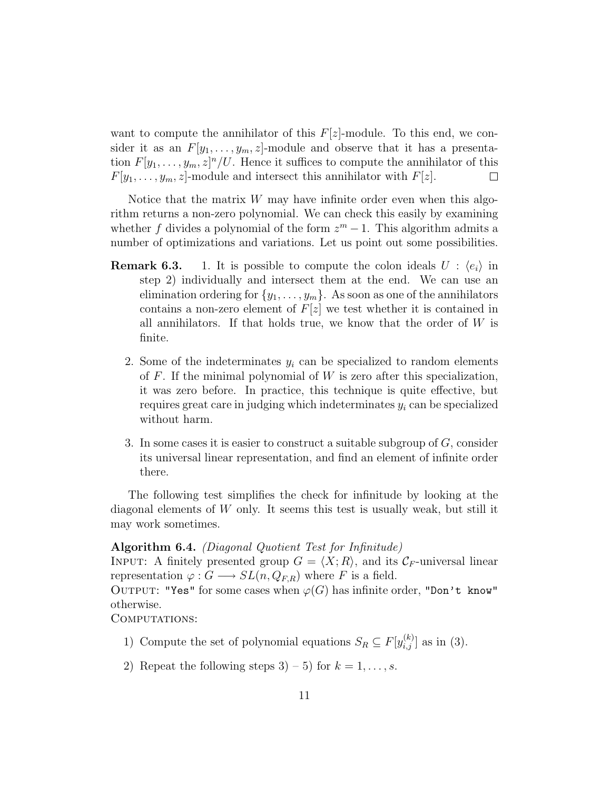want to compute the annihilator of this  $F[z]$ -module. To this end, we consider it as an  $F[y_1, \ldots, y_m, z]$ -module and observe that it has a presentation  $F[y_1, \ldots, y_m, z]^n/U$ . Hence it suffices to compute the annihilator of this  $F[y_1, \ldots, y_m, z]$ -module and intersect this annihilator with  $F[z]$ .  $\Box$ 

Notice that the matrix  $W$  may have infinite order even when this algorithm returns a non-zero polynomial. We can check this easily by examining whether f divides a polynomial of the form  $z^m - 1$ . This algorithm admits a number of optimizations and variations. Let us point out some possibilities.

- **Remark 6.3.** 1. It is possible to compute the colon ideals  $U : \langle e_i \rangle$  in step 2) individually and intersect them at the end. We can use an elimination ordering for  $\{y_1, \ldots, y_m\}$ . As soon as one of the annihilators contains a non-zero element of  $F[z]$  we test whether it is contained in all annihilators. If that holds true, we know that the order of  $W$  is finite.
	- 2. Some of the indeterminates  $y_i$  can be specialized to random elements of  $F$ . If the minimal polynomial of  $W$  is zero after this specialization, it was zero before. In practice, this technique is quite effective, but requires great care in judging which indeterminates  $y_i$  can be specialized without harm.
	- 3. In some cases it is easier to construct a suitable subgroup of  $G$ , consider its universal linear representation, and find an element of infinite order there.

The following test simplifies the check for infinitude by looking at the diagonal elements of  $W$  only. It seems this test is usually weak, but still it may work sometimes.

#### Algorithm 6.4. (Diagonal Quotient Test for Infinitude)

INPUT: A finitely presented group  $G = \langle X; R \rangle$ , and its  $\mathcal{C}_F$ -universal linear representation  $\varphi: G \longrightarrow SL(n, Q_{FR})$  where F is a field.

OUTPUT: "Yes" for some cases when  $\varphi(G)$  has infinite order, "Don't know" otherwise.

COMPUTATIONS:

- 1) Compute the set of polynomial equations  $S_R \subseteq F[y_{i,j}^{(k)}]$  as in (3).
- 2) Repeat the following steps  $3 5$  for  $k = 1, \ldots, s$ .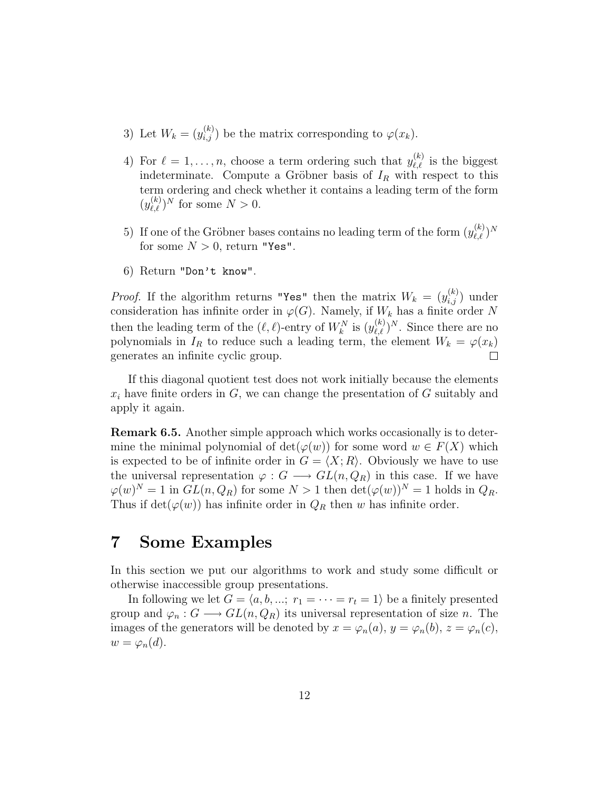- 3) Let  $W_k = (y_{i,j}^{(k)})$  be the matrix corresponding to  $\varphi(x_k)$ .
- 4) For  $\ell = 1, \ldots, n$ , choose a term ordering such that  $y_{\ell,\ell}^{(k)}$  is the biggest indeterminate. Compute a Gröbner basis of  $I_R$  with respect to this term ordering and check whether it contains a leading term of the form  $(y_{\ell,\ell}^{(k)})^N$  for some  $N > 0$ .
- 5) If one of the Gröbner bases contains no leading term of the form  $(y_{\ell,\ell}^{(k)})^N$ for some  $N > 0$ , return "Yes".
- 6) Return "Don't know".

*Proof.* If the algorithm returns "Yes" then the matrix  $W_k = (y_{i,j}^{(k)})$  under consideration has infinite order in  $\varphi(G)$ . Namely, if  $W_k$  has a finite order N then the leading term of the  $(\ell, \ell)$ -entry of  $W_k^N$  is  $(y_{\ell,\ell}^{(k)})^N$ . Since there are no polynomials in  $I_R$  to reduce such a leading term, the element  $W_k = \varphi(x_k)$ generates an infinite cyclic group.  $\Box$ 

If this diagonal quotient test does not work initially because the elements  $x_i$  have finite orders in  $G$ , we can change the presentation of  $G$  suitably and apply it again.

Remark 6.5. Another simple approach which works occasionally is to determine the minimal polynomial of  $\det(\varphi(w))$  for some word  $w \in F(X)$  which is expected to be of infinite order in  $G = \langle X; R \rangle$ . Obviously we have to use the universal representation  $\varphi: G \longrightarrow GL(n, Q_R)$  in this case. If we have  $\varphi(w)^N = 1$  in  $GL(n, Q_R)$  for some  $N > 1$  then  $\det(\varphi(w))^N = 1$  holds in  $Q_R$ . Thus if  $\det(\varphi(w))$  has infinite order in  $Q_R$  then w has infinite order.

## 7 Some Examples

In this section we put our algorithms to work and study some difficult or otherwise inaccessible group presentations.

In following we let  $G = \langle a, b, \dots; r_1 = \cdots = r_t = 1 \rangle$  be a finitely presented group and  $\varphi_n : G \longrightarrow GL(n, Q_R)$  its universal representation of size *n*. The images of the generators will be denoted by  $x = \varphi_n(a)$ ,  $y = \varphi_n(b)$ ,  $z = \varphi_n(c)$ ,  $w = \varphi_n(d)$ .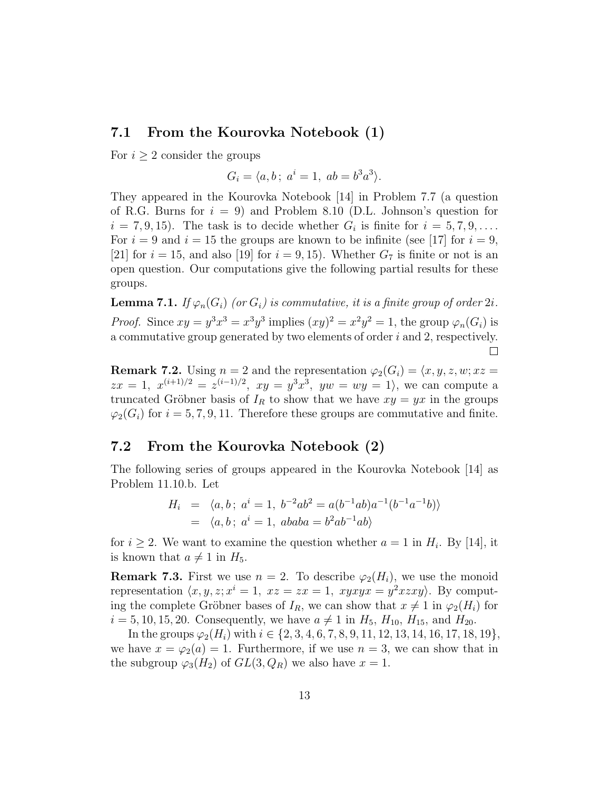### 7.1 From the Kourovka Notebook (1)

For  $i \geq 2$  consider the groups

$$
G_i = \langle a, b \, ; \, a^i = 1, \, ab = b^3 a^3 \rangle.
$$

They appeared in the Kourovka Notebook [14] in Problem 7.7 (a question of R.G. Burns for  $i = 9$ ) and Problem 8.10 (D.L. Johnson's question for  $i = 7, 9, 15$ . The task is to decide whether  $G_i$  is finite for  $i = 5, 7, 9, \ldots$ . For  $i = 9$  and  $i = 15$  the groups are known to be infinite (see [17] for  $i = 9$ , [21] for  $i = 15$ , and also [19] for  $i = 9, 15$ ). Whether  $G<sub>7</sub>$  is finite or not is an open question. Our computations give the following partial results for these groups.

**Lemma 7.1.** If  $\varphi_n(G_i)$  (or  $G_i$ ) is commutative, it is a finite group of order 2i. *Proof.* Since  $xy = y^3x^3 = x^3y^3$  implies  $(xy)^2 = x^2y^2 = 1$ , the group  $\varphi_n(G_i)$  is a commutative group generated by two elements of order  $i$  and 2, respectively.  $\Box$ 

**Remark 7.2.** Using  $n = 2$  and the representation  $\varphi_2(G_i) = \langle x, y, z, w; xz \rangle =$  $zx = 1, x^{(i+1)/2} = z^{(i-1)/2}, xy = y^3x^3, yw = wy = 1$ , we can compute a truncated Gröbner basis of  $I_R$  to show that we have  $xy = yx$  in the groups  $\varphi_2(G_i)$  for  $i = 5, 7, 9, 11$ . Therefore these groups are commutative and finite.

### 7.2 From the Kourovka Notebook (2)

The following series of groups appeared in the Kourovka Notebook [14] as Problem 11.10.b. Let

$$
H_i = \langle a, b \, ; \, a^i = 1, \, b^{-2}ab^2 = a(b^{-1}ab)a^{-1}(b^{-1}a^{-1}b) \rangle
$$
  
=  $\langle a, b \, ; \, a^i = 1, \, ababa = b^2ab^{-1}ab \rangle$ 

for  $i \geq 2$ . We want to examine the question whether  $a = 1$  in  $H_i$ . By [14], it is known that  $a \neq 1$  in  $H_5$ .

**Remark 7.3.** First we use  $n = 2$ . To describe  $\varphi_2(H_i)$ , we use the monoid representation  $\langle x, y, z; x^i = 1, xz = zx = 1, xyxyx = y^2xzxy \rangle$ . By computing the complete Gröbner bases of  $I_R$ , we can show that  $x \neq 1$  in  $\varphi_2(H_i)$  for  $i = 5, 10, 15, 20$ . Consequently, we have  $a \neq 1$  in  $H_5$ ,  $H_{10}$ ,  $H_{15}$ , and  $H_{20}$ .

In the groups  $\varphi_2(H_i)$  with  $i \in \{2, 3, 4, 6, 7, 8, 9, 11, 12, 13, 14, 16, 17, 18, 19\},\$ we have  $x = \varphi_2(a) = 1$ . Furthermore, if we use  $n = 3$ , we can show that in the subgroup  $\varphi_3(H_2)$  of  $GL(3,Q_R)$  we also have  $x=1$ .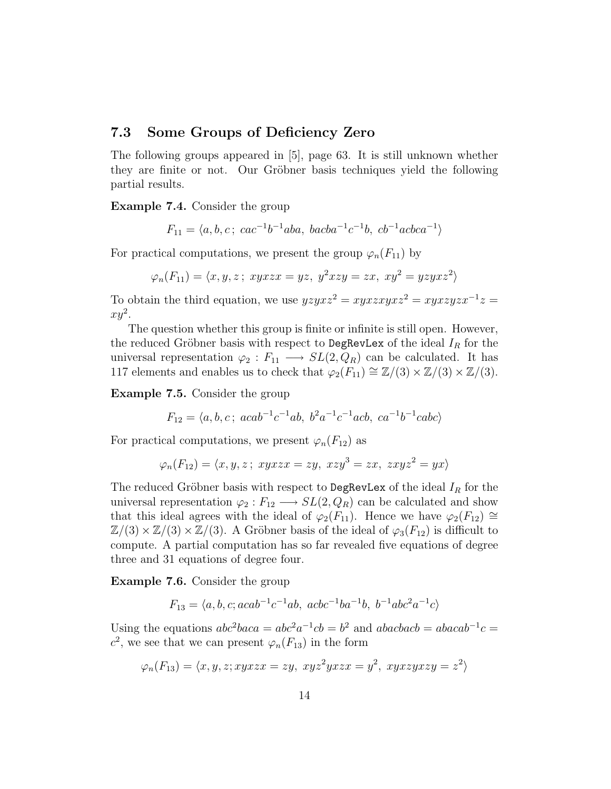### 7.3 Some Groups of Deficiency Zero

The following groups appeared in [5], page 63. It is still unknown whether they are finite or not. Our Gröbner basis techniques yield the following partial results.

Example 7.4. Consider the group

$$
F_{11} = \langle a, b, c \, ; \, cac^{-1}b^{-1}aba, \, bacba^{-1}c^{-1}b, \, cb^{-1}acbca^{-1} \rangle
$$

For practical computations, we present the group  $\varphi_n(F_{11})$  by

$$
\varphi_n(F_{11}) = \langle x, y, z \, ; \, xyxzx = yz, \ y^2xzy = zx, \ xy^2 = yzyxz^2 \rangle
$$

To obtain the third equation, we use  $yzyxz^2 = xyxzxyxz^2 = xyxzyzx^{-1}z =$  $xy^2$ .

The question whether this group is finite or infinite is still open. However, the reduced Gröbner basis with respect to DegRevLex of the ideal  $I_R$  for the universal representation  $\varphi_2 : F_{11} \longrightarrow SL(2,Q_R)$  can be calculated. It has 117 elements and enables us to check that  $\varphi_2(F_{11}) \cong \mathbb{Z}/(3) \times \mathbb{Z}/(3) \times \mathbb{Z}/(3)$ .

Example 7.5. Consider the group

$$
F_{12} = \langle a, b, c \, ; \, acab^{-1}c^{-1}ab, \, b^2a^{-1}c^{-1}acb, \, ca^{-1}b^{-1}cabc \rangle
$$

For practical computations, we present  $\varphi_n(F_{12})$  as

$$
\varphi_n(F_{12}) = \langle x, y, z \, ; \, xyxzx = zy, \ xzy^3 = zx, \ zxyz^2 = yx \rangle
$$

The reduced Gröbner basis with respect to DegRevLex of the ideal  $I_R$  for the universal representation  $\varphi_2 : F_{12} \longrightarrow SL(2,Q_R)$  can be calculated and show that this ideal agrees with the ideal of  $\varphi_2(F_{11})$ . Hence we have  $\varphi_2(F_{12}) \cong$  $\mathbb{Z}/(3) \times \mathbb{Z}/(3) \times \mathbb{Z}/(3)$ . A Gröbner basis of the ideal of  $\varphi_3(F_{12})$  is difficult to compute. A partial computation has so far revealed five equations of degree three and 31 equations of degree four.

Example 7.6. Consider the group

$$
F_{13} = \langle a, b, c; acab^{-1}c^{-1}ab, acbc^{-1}ba^{-1}b, b^{-1}abc^2a^{-1}c \rangle
$$

Using the equations  $abc^2baca = abc^2a^{-1}cb = b^2$  and  $abacbacb = abacab^{-1}c =$  $c^2$ , we see that we can present  $\varphi_n(F_{13})$  in the form

$$
\varphi_n(F_{13}) = \langle x, y, z; xyzzx = zy, xyz^2yxzx = y^2, xyzzyxzy = z^2 \rangle
$$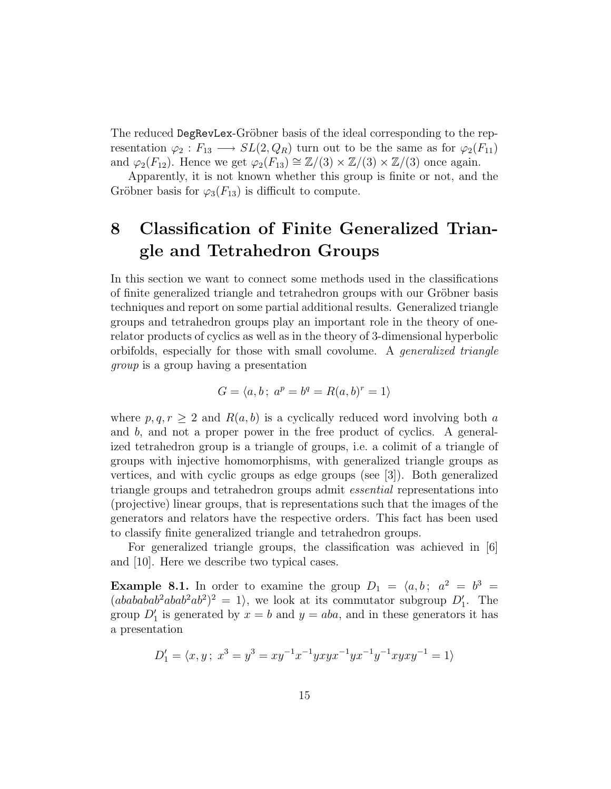The reduced DegRevLex-Gröbner basis of the ideal corresponding to the representation  $\varphi_2 : F_{13} \longrightarrow SL(2,Q_R)$  turn out to be the same as for  $\varphi_2(F_{11})$ and  $\varphi_2(F_{12})$ . Hence we get  $\varphi_2(F_{13}) \cong \mathbb{Z}/(3) \times \mathbb{Z}/(3) \times \mathbb{Z}/(3)$  once again.

Apparently, it is not known whether this group is finite or not, and the Gröbner basis for  $\varphi_3(F_{13})$  is difficult to compute.

# 8 Classification of Finite Generalized Triangle and Tetrahedron Groups

In this section we want to connect some methods used in the classifications of finite generalized triangle and tetrahedron groups with our Gröbner basis techniques and report on some partial additional results. Generalized triangle groups and tetrahedron groups play an important role in the theory of onerelator products of cyclics as well as in the theory of 3-dimensional hyperbolic orbifolds, especially for those with small covolume. A generalized triangle group is a group having a presentation

$$
G = \langle a, b \, ; \, a^p = b^q = R(a, b)^r = 1 \rangle
$$

where  $p, q, r \geq 2$  and  $R(a, b)$  is a cyclically reduced word involving both a and b, and not a proper power in the free product of cyclics. A generalized tetrahedron group is a triangle of groups, i.e. a colimit of a triangle of groups with injective homomorphisms, with generalized triangle groups as vertices, and with cyclic groups as edge groups (see [3]). Both generalized triangle groups and tetrahedron groups admit essential representations into (projective) linear groups, that is representations such that the images of the generators and relators have the respective orders. This fact has been used to classify finite generalized triangle and tetrahedron groups.

For generalized triangle groups, the classification was achieved in [6] and [10]. Here we describe two typical cases.

**Example 8.1.** In order to examine the group  $D_1 = \langle a, b; a^2 = b^3 = b \rangle$  $(ababab^2abab^2ab^2)^2 = 1$ , we look at its commutator subgroup  $D'_1$ . The group  $D'_1$  is generated by  $x = b$  and  $y = aba$ , and in these generators it has a presentation

$$
D_1' = \langle x, y; \ x^3 = y^3 = xy^{-1}x^{-1}yxyx^{-1}yx^{-1}y^{-1}xyxy^{-1} = 1 \rangle
$$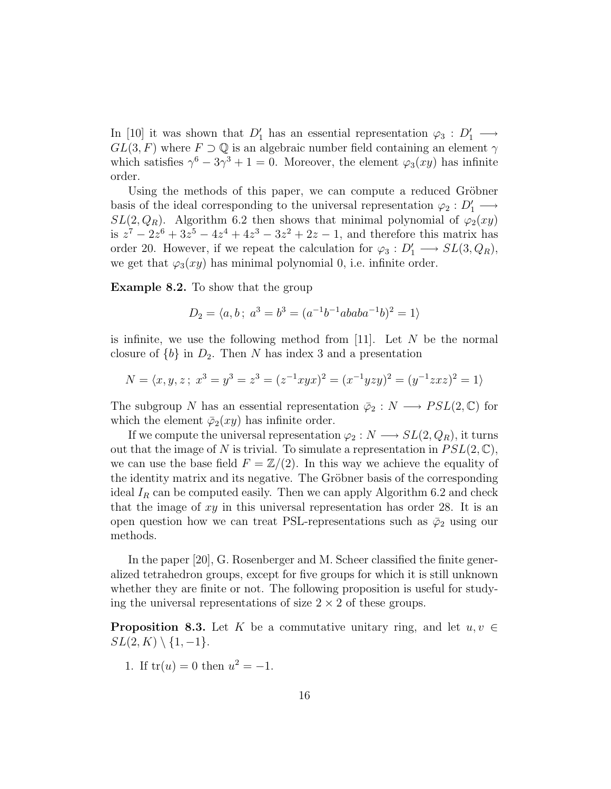In [10] it was shown that  $D'_1$  has an essential representation  $\varphi_3 : D'_1 \longrightarrow$  $GL(3, F)$  where  $F \supset \mathbb{Q}$  is an algebraic number field containing an element  $\gamma$ which satisfies  $\gamma^6 - 3\gamma^3 + 1 = 0$ . Moreover, the element  $\varphi_3(xy)$  has infinite order.

Using the methods of this paper, we can compute a reduced Gröbner basis of the ideal corresponding to the universal representation  $\varphi_2: D'_1 \longrightarrow$  $SL(2,Q_R)$ . Algorithm 6.2 then shows that minimal polynomial of  $\varphi_2(xy)$ is  $z^7 - 2z^6 + 3z^5 - 4z^4 + 4z^3 - 3z^2 + 2z - 1$ , and therefore this matrix has order 20. However, if we repeat the calculation for  $\varphi_3: D'_1 \longrightarrow SL(3, Q_R)$ , we get that  $\varphi_3(xy)$  has minimal polynomial 0, i.e. infinite order.

Example 8.2. To show that the group

$$
D_2 = \langle a, b \, ; \, a^3 = b^3 = (a^{-1}b^{-1}ababa^{-1}b)^2 = 1 \rangle
$$

is infinite, we use the following method from  $[11]$ . Let N be the normal closure of  ${b}$  in  $D_2$ . Then N has index 3 and a presentation

$$
N = \langle x, y, z \, ; \, x^3 = y^3 = z^3 = (z^{-1}xyx)^2 = (x^{-1}yzy)^2 = (y^{-1}zxz)^2 = 1 \rangle
$$

The subgroup N has an essential representation  $\bar{\varphi}_2 : N \longrightarrow PSL(2,\mathbb{C})$  for which the element  $\bar{\varphi}_2(xy)$  has infinite order.

If we compute the universal representation  $\varphi_2 : N \longrightarrow SL(2,Q_R)$ , it turns out that the image of N is trivial. To simulate a representation in  $PSL(2, \mathbb{C}),$ we can use the base field  $F = \mathbb{Z}/(2)$ . In this way we achieve the equality of the identity matrix and its negative. The Gröbner basis of the corresponding ideal  $I_R$  can be computed easily. Then we can apply Algorithm 6.2 and check that the image of  $xy$  in this universal representation has order 28. It is an open question how we can treat PSL-representations such as  $\bar{\varphi}_2$  using our methods.

In the paper [20], G. Rosenberger and M. Scheer classified the finite generalized tetrahedron groups, except for five groups for which it is still unknown whether they are finite or not. The following proposition is useful for studying the universal representations of size  $2 \times 2$  of these groups.

**Proposition 8.3.** Let K be a commutative unitary ring, and let  $u, v \in$  $SL(2, K) \setminus \{1, -1\}.$ 

1. If  $tr(u) = 0$  then  $u^2 = -1$ .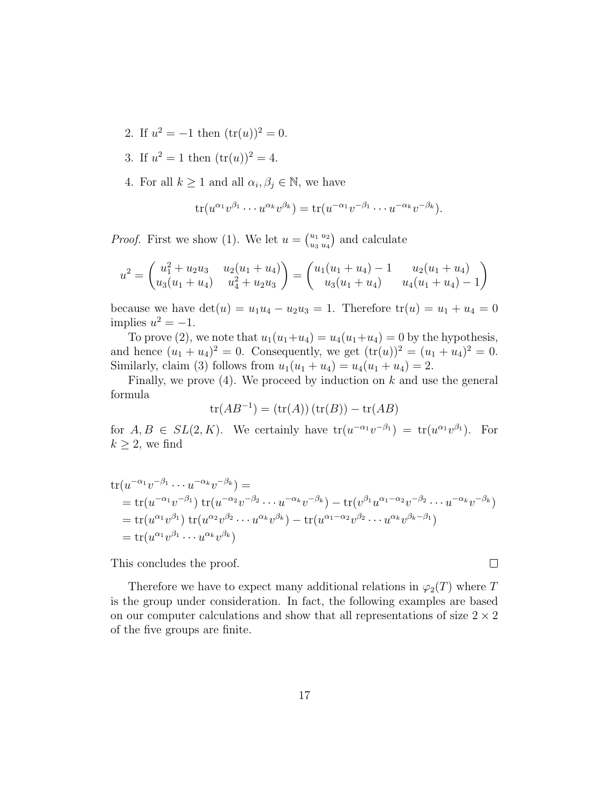- 2. If  $u^2 = -1$  then  $(\text{tr}(u))^2 = 0$ .
- 3. If  $u^2 = 1$  then  $(\text{tr}(u))^2 = 4$ .
- 4. For all  $k \geq 1$  and all  $\alpha_i, \beta_j \in \mathbb{N}$ , we have

$$
\operatorname{tr}(u^{\alpha_1}v^{\beta_1}\cdots u^{\alpha_k}v^{\beta_k}) = \operatorname{tr}(u^{-\alpha_1}v^{-\beta_1}\cdots u^{-\alpha_k}v^{-\beta_k}).
$$

*Proof.* First we show (1). We let  $u = \begin{pmatrix} u_1 & u_2 \\ u_2 & u_3 \end{pmatrix}$  $\binom{u_1}{u_3}\binom{u_2}{u_4}$  and calculate

$$
u^{2} = \begin{pmatrix} u_{1}^{2} + u_{2}u_{3} & u_{2}(u_{1} + u_{4}) \\ u_{3}(u_{1} + u_{4}) & u_{4}^{2} + u_{2}u_{3} \end{pmatrix} = \begin{pmatrix} u_{1}(u_{1} + u_{4}) - 1 & u_{2}(u_{1} + u_{4}) \\ u_{3}(u_{1} + u_{4}) & u_{4}(u_{1} + u_{4}) - 1 \end{pmatrix}
$$

because we have  $det(u) = u_1u_4 - u_2u_3 = 1$ . Therefore  $tr(u) = u_1 + u_4 = 0$ implies  $u^2 = -1$ .

To prove (2), we note that  $u_1(u_1+u_4) = u_4(u_1+u_4) = 0$  by the hypothesis, and hence  $(u_1 + u_4)^2 = 0$ . Consequently, we get  $(tr(u))^2 = (u_1 + u_4)^2 = 0$ . Similarly, claim (3) follows from  $u_1(u_1 + u_4) = u_4(u_1 + u_4) = 2$ .

Finally, we prove  $(4)$ . We proceed by induction on k and use the general formula

$$
tr(AB^{-1}) = (tr(A)) (tr(B)) - tr(AB)
$$

for  $A, B \in SL(2, K)$ . We certainly have  $tr(u^{-\alpha_1}v^{-\beta_1}) = tr(u^{\alpha_1}v^{\beta_1})$ . For  $k \geq 2$ , we find

$$
tr(u^{-\alpha_1}v^{-\beta_1}\cdots u^{-\alpha_k}v^{-\beta_k}) =
$$
  
= tr(u^{-\alpha\_1}v^{-\beta\_1}) tr(u^{-\alpha\_2}v^{-\beta\_2}\cdots u^{-\alpha\_k}v^{-\beta\_k}) - tr(v^{\beta\_1}u^{\alpha\_1-\alpha\_2}v^{-\beta\_2}\cdots u^{-\alpha\_k}v^{-\beta\_k})  
= tr(u^{\alpha\_1}v^{\beta\_1}) tr(u^{\alpha\_2}v^{\beta\_2}\cdots u^{\alpha\_k}v^{\beta\_k}) - tr(u^{\alpha\_1-\alpha\_2}v^{\beta\_2}\cdots u^{\alpha\_k}v^{\beta\_k-\beta\_1})  
= tr(u^{\alpha\_1}v^{\beta\_1}\cdots u^{\alpha\_k}v^{\beta\_k})

This concludes the proof.

Therefore we have to expect many additional relations in  $\varphi_2(T)$  where T is the group under consideration. In fact, the following examples are based on our computer calculations and show that all representations of size  $2 \times 2$ of the five groups are finite.

 $\Box$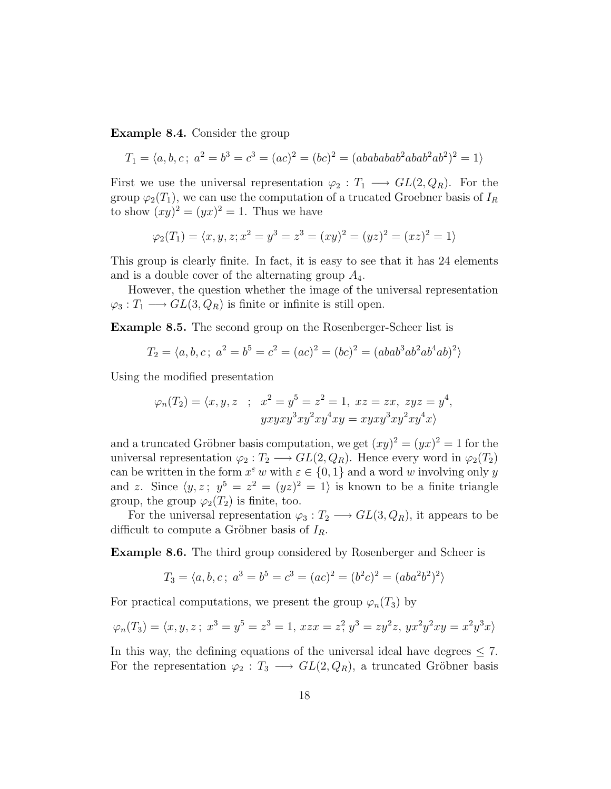Example 8.4. Consider the group

$$
T_1 = \langle a, b, c \, ; \, a^2 = b^3 = c^3 = (ac)^2 = (bc)^2 = (abababab^2abab^2ab^2)^2 = 1 \rangle
$$

First we use the universal representation  $\varphi_2 : T_1 \longrightarrow GL(2, Q_R)$ . For the group  $\varphi_2(T_1)$ , we can use the computation of a trucated Groebner basis of  $I_R$ to show  $(xy)^2 = (yx)^2 = 1$ . Thus we have

$$
\varphi_2(T_1) = \langle x, y, z; x^2 = y^3 = z^3 = (xy)^2 = (yz)^2 = (xz)^2 = 1 \rangle
$$

This group is clearly finite. In fact, it is easy to see that it has 24 elements and is a double cover of the alternating group  $A_4$ .

However, the question whether the image of the universal representation  $\varphi_3: T_1 \longrightarrow GL(3,Q_R)$  is finite or infinite is still open.

Example 8.5. The second group on the Rosenberger-Scheer list is

$$
T_2 = \langle a, b, c \, ; \, a^2 = b^5 = c^2 = (ac)^2 = (bc)^2 = (abab^3ab^2ab^4ab)^2 \rangle
$$

Using the modified presentation

$$
\varphi_n(T_2) = \langle x, y, z \quad ; \quad x^2 = y^5 = z^2 = 1, \ xz = zx, \ zyz = y^4,
$$
  

$$
yxyxy^3xy^2xy^4xy = xyxy^3xy^2xy^4x\rangle
$$

and a truncated Gröbner basis computation, we get  $(xy)^2 = (yx)^2 = 1$  for the universal representation  $\varphi_2 : T_2 \longrightarrow GL(2, Q_R)$ . Hence every word in  $\varphi_2(T_2)$ can be written in the form  $x^{\varepsilon} w$  with  $\varepsilon \in \{0,1\}$  and a word w involving only y and z. Since  $\langle y, z \, ; \, y^5 = z^2 = (yz)^2 = 1 \rangle$  is known to be a finite triangle group, the group  $\varphi_2(T_2)$  is finite, too.

For the universal representation  $\varphi_3 : T_2 \longrightarrow GL(3, Q_R)$ , it appears to be difficult to compute a Gröbner basis of  $I_R$ .

Example 8.6. The third group considered by Rosenberger and Scheer is

$$
T_3 = \langle a, b, c \, ; \, a^3 = b^5 = c^3 = (ac)^2 = (b^2c)^2 = (aba^2b^2)^2 \rangle
$$

For practical computations, we present the group  $\varphi_n(T_3)$  by

$$
\varphi_n(T_3) = \langle x, y, z \rangle
$$
;  $x^3 = y^5 = z^3 = 1$ ,  $xzx = z^2$ ,  $y^3 = zy^2z$ ,  $yx^2y^2xy = x^2y^3x$ 

In this way, the defining equations of the universal ideal have degrees  $\leq 7$ . For the representation  $\varphi_2 : T_3 \longrightarrow GL(2, Q_R)$ , a truncated Gröbner basis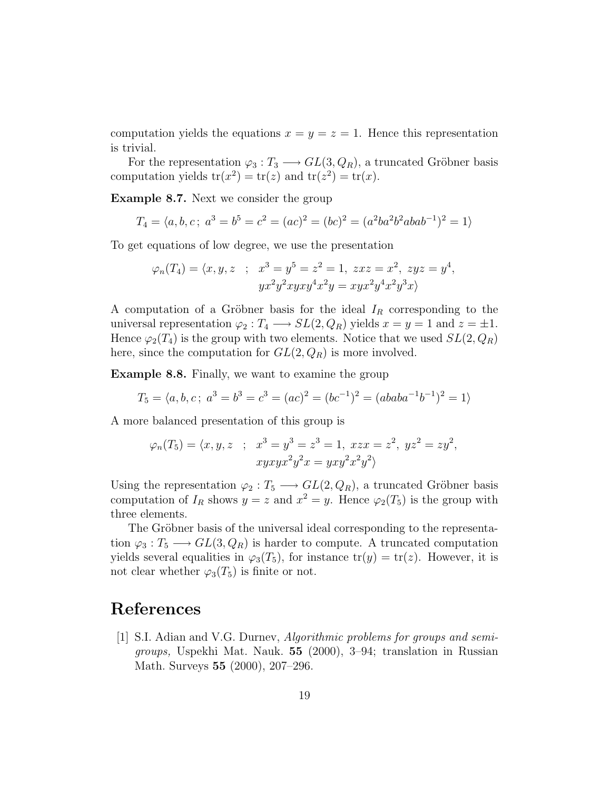computation yields the equations  $x = y = z = 1$ . Hence this representation is trivial.

For the representation  $\varphi_3: T_3 \longrightarrow GL(3, Q_R)$ , a truncated Gröbner basis computation yields  $tr(x^2) = tr(z)$  and  $tr(z^2) = tr(x)$ .

Example 8.7. Next we consider the group

$$
T_4 = \langle a, b, c \, ; \, a^3 = b^5 = c^2 = (ac)^2 = (bc)^2 = (a^2ba^2b^2abab^{-1})^2 = 1 \rangle
$$

To get equations of low degree, we use the presentation

$$
\varphi_n(T_4) = \langle x, y, z \; ; \; x^3 = y^5 = z^2 = 1, zxz = x^2, zyz = y^4,
$$
  
\n
$$
yx^2y^2xyxy^4x^2y = xyx^2y^4x^2y^3x\rangle
$$

A computation of a Gröbner basis for the ideal  $I_R$  corresponding to the universal representation  $\varphi_2 : T_4 \longrightarrow SL(2, Q_R)$  yields  $x = y = 1$  and  $z = \pm 1$ . Hence  $\varphi_2(T_4)$  is the group with two elements. Notice that we used  $SL(2,Q_R)$ here, since the computation for  $GL(2,Q_R)$  is more involved.

Example 8.8. Finally, we want to examine the group

$$
T_5 = \langle a, b, c \, ; \, a^3 = b^3 = c^3 = (ac)^2 = (bc^{-1})^2 = (ababa^{-1}b^{-1})^2 = 1 \rangle
$$

A more balanced presentation of this group is

$$
\varphi_n(T_5) = \langle x, y, z \; ; \; x^3 = y^3 = z^3 = 1, xzx = z^2, yz^2 = zy^2,
$$
  
\n $xyxyx^2y^2x = yxy^2x^2y^2$ 

Using the representation  $\varphi_2 : T_5 \longrightarrow GL(2, Q_R)$ , a truncated Gröbner basis computation of  $I_R$  shows  $y = z$  and  $x^2 = y$ . Hence  $\varphi_2(T_5)$  is the group with three elements.

The Gröbner basis of the universal ideal corresponding to the representation  $\varphi_3: T_5 \longrightarrow GL(3,Q_R)$  is harder to compute. A truncated computation yields several equalities in  $\varphi_3(T_5)$ , for instance  $tr(y) = tr(z)$ . However, it is not clear whether  $\varphi_3(T_5)$  is finite or not.

### References

[1] S.I. Adian and V.G. Durnev, Algorithmic problems for groups and semigroups, Uspekhi Mat. Nauk. 55 (2000), 3–94; translation in Russian Math. Surveys 55 (2000), 207–296.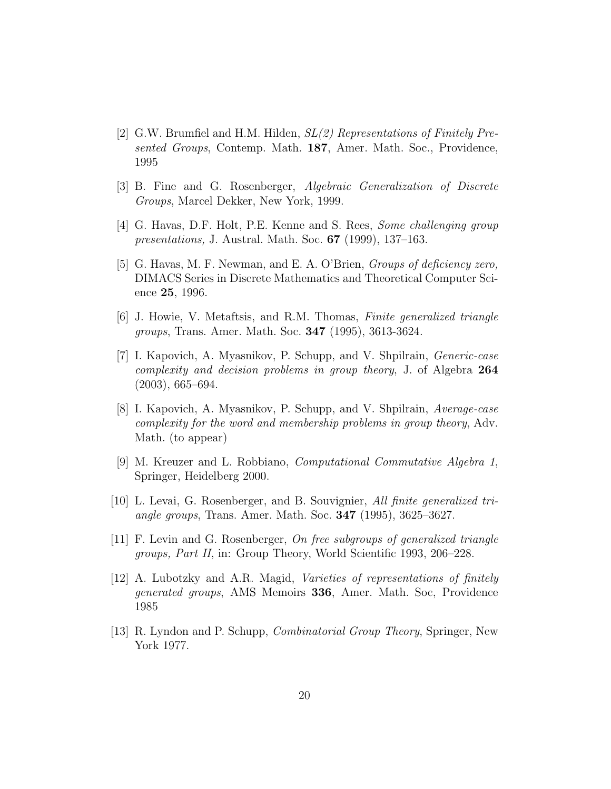- [2] G.W. Brumfiel and H.M. Hilden, SL(2) Representations of Finitely Presented Groups, Contemp. Math. 187, Amer. Math. Soc., Providence, 1995
- [3] B. Fine and G. Rosenberger, Algebraic Generalization of Discrete Groups, Marcel Dekker, New York, 1999.
- [4] G. Havas, D.F. Holt, P.E. Kenne and S. Rees, Some challenging group presentations, J. Austral. Math. Soc. 67 (1999), 137–163.
- [5] G. Havas, M. F. Newman, and E. A. O'Brien, *Groups of deficiency zero*, DIMACS Series in Discrete Mathematics and Theoretical Computer Science 25, 1996.
- [6] J. Howie, V. Metaftsis, and R.M. Thomas, Finite generalized triangle groups, Trans. Amer. Math. Soc. 347 (1995), 3613-3624.
- [7] I. Kapovich, A. Myasnikov, P. Schupp, and V. Shpilrain, Generic-case complexity and decision problems in group theory, J. of Algebra 264 (2003), 665–694.
- [8] I. Kapovich, A. Myasnikov, P. Schupp, and V. Shpilrain, Average-case complexity for the word and membership problems in group theory, Adv. Math. (to appear)
- [9] M. Kreuzer and L. Robbiano, Computational Commutative Algebra 1, Springer, Heidelberg 2000.
- [10] L. Levai, G. Rosenberger, and B. Souvignier, All finite generalized triangle groups, Trans. Amer. Math. Soc. 347 (1995), 3625–3627.
- [11] F. Levin and G. Rosenberger, On free subgroups of generalized triangle groups, Part II, in: Group Theory, World Scientific 1993, 206–228.
- [12] A. Lubotzky and A.R. Magid, Varieties of representations of finitely generated groups, AMS Memoirs 336, Amer. Math. Soc, Providence 1985
- [13] R. Lyndon and P. Schupp, Combinatorial Group Theory, Springer, New York 1977.